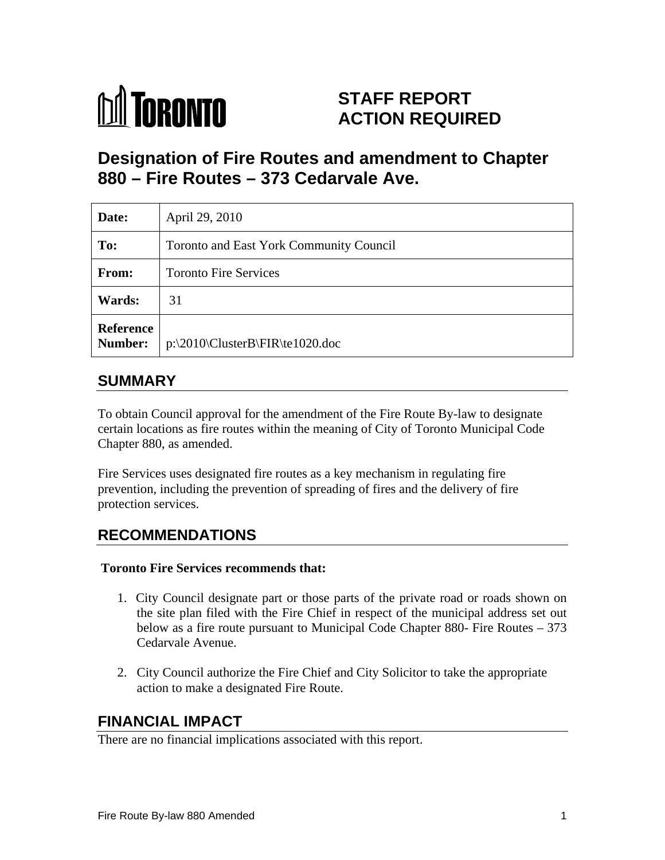

# **STAFF REPORT ACTION REQUIRED**

# **Designation of Fire Routes and amendment to Chapter 880 – Fire Routes – 373 Cedarvale Ave.**

| Date:                | April 29, 2010                                        |
|----------------------|-------------------------------------------------------|
| To:                  | Toronto and East York Community Council               |
| From:                | <b>Toronto Fire Services</b>                          |
| <b>Wards:</b>        | 31                                                    |
| Reference<br>Number: | $ p:\2010\backslash ClusterB\}FR\setminus te1020.doc$ |

### **SUMMARY**

To obtain Council approval for the amendment of the Fire Route By-law to designate certain locations as fire routes within the meaning of City of Toronto Municipal Code Chapter 880, as amended.

Fire Services uses designated fire routes as a key mechanism in regulating fire prevention, including the prevention of spreading of fires and the delivery of fire protection services.

### **RECOMMENDATIONS**

#### **Toronto Fire Services recommends that:**

- 1. City Council designate part or those parts of the private road or roads shown on the site plan filed with the Fire Chief in respect of the municipal address set out below as a fire route pursuant to Municipal Code Chapter 880- Fire Routes – 373 Cedarvale Avenue.
- 2. City Council authorize the Fire Chief and City Solicitor to take the appropriate action to make a designated Fire Route.

# **FINANCIAL IMPACT**

There are no financial implications associated with this report.